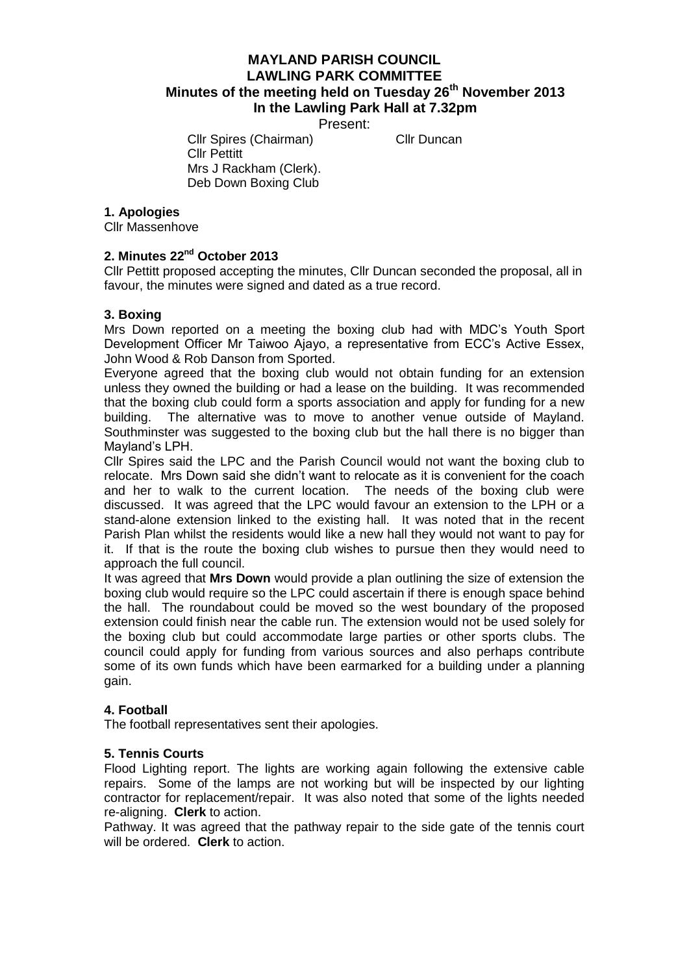# **MAYLAND PARISH COUNCIL LAWLING PARK COMMITTEE Minutes of the meeting held on Tuesday 26th November 2013 In the Lawling Park Hall at 7.32pm**

Present:

Cllr Spires (Chairman) Cllr Duncan Cllr Pettitt Mrs J Rackham (Clerk). Deb Down Boxing Club

#### **1. Apologies**

Cllr Massenhove

#### 2. Minutes 22<sup>nd</sup> October 2013

Cllr Pettitt proposed accepting the minutes, Cllr Duncan seconded the proposal, all in favour, the minutes were signed and dated as a true record.

#### **3. Boxing**

Mrs Down reported on a meeting the boxing club had with MDC's Youth Sport Development Officer Mr Taiwoo Ajayo, a representative from ECC's Active Essex, John Wood & Rob Danson from Sported.

Everyone agreed that the boxing club would not obtain funding for an extension unless they owned the building or had a lease on the building. It was recommended that the boxing club could form a sports association and apply for funding for a new building. The alternative was to move to another venue outside of Mayland. Southminster was suggested to the boxing club but the hall there is no bigger than Mayland's LPH.

Cllr Spires said the LPC and the Parish Council would not want the boxing club to relocate. Mrs Down said she didn't want to relocate as it is convenient for the coach and her to walk to the current location. The needs of the boxing club were discussed. It was agreed that the LPC would favour an extension to the LPH or a stand-alone extension linked to the existing hall. It was noted that in the recent Parish Plan whilst the residents would like a new hall they would not want to pay for it. If that is the route the boxing club wishes to pursue then they would need to approach the full council.

It was agreed that **Mrs Down** would provide a plan outlining the size of extension the boxing club would require so the LPC could ascertain if there is enough space behind the hall. The roundabout could be moved so the west boundary of the proposed extension could finish near the cable run. The extension would not be used solely for the boxing club but could accommodate large parties or other sports clubs. The council could apply for funding from various sources and also perhaps contribute some of its own funds which have been earmarked for a building under a planning gain.

### **4. Football**

The football representatives sent their apologies.

### **5. Tennis Courts**

Flood Lighting report. The lights are working again following the extensive cable repairs. Some of the lamps are not working but will be inspected by our lighting contractor for replacement/repair. It was also noted that some of the lights needed re-aligning. **Clerk** to action.

Pathway. It was agreed that the pathway repair to the side gate of the tennis court will be ordered. **Clerk** to action.